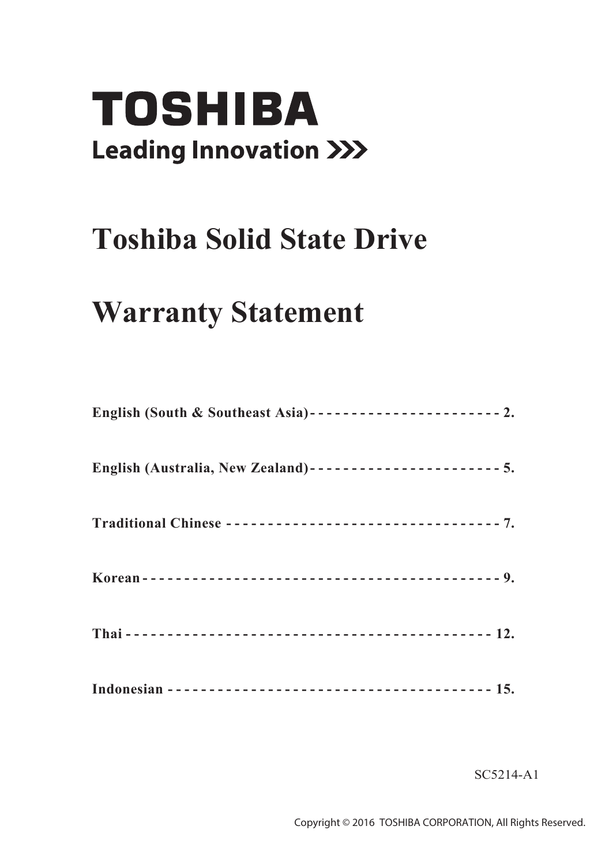# **TOSHIBA Leading Innovation >>>**

## **Toshiba Solid State Drive**

## **Warranty Statement**

SC5214-A1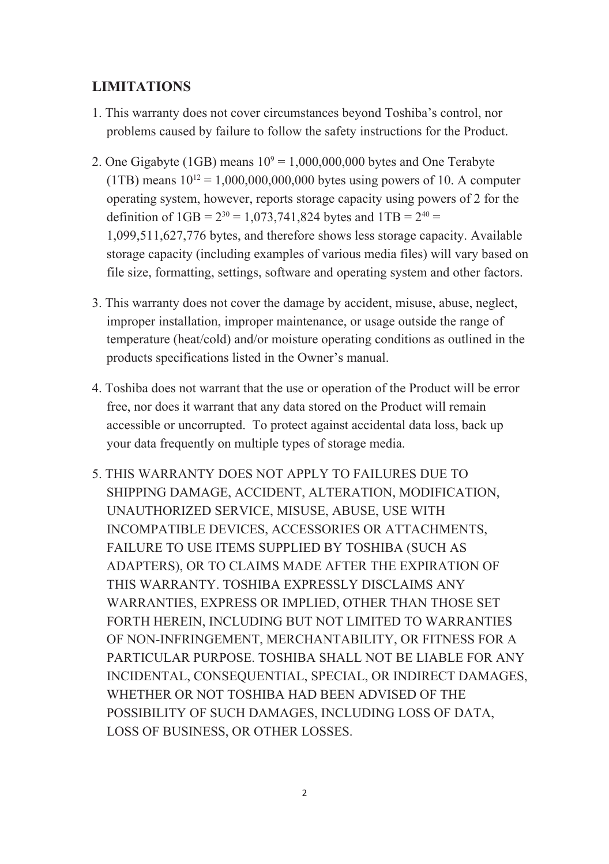#### **LIMITATIONS**

- 1. This warranty does not cover circumstances beyond Toshiba's control, nor problems caused by failure to follow the safety instructions for the Product.
- 2. One Gigabyte (1GB) means  $10^9 = 1,000,000,000$  bytes and One Terabyte (1TB) means  $10^{12} = 1,000,000,000,000$  bytes using powers of 10. A computer operating system, however, reports storage capacity using powers of 2 for the definition of  $1$ GB =  $2^{30}$  = 1,073,741,824 bytes and  $1$ TB =  $2^{40}$  = 1,099,511,627,776 bytes, and therefore shows less storage capacity. Available storage capacity (including examples of various media files) will vary based on file size, formatting, settings, software and operating system and other factors.
- 3. This warranty does not cover the damage by accident, misuse, abuse, neglect, improper installation, improper maintenance, or usage outside the range of temperature (heat/cold) and/or moisture operating conditions as outlined in the products specifications listed in the Owner's manual.
- 4. Toshiba does not warrant that the use or operation of the Product will be error free, nor does it warrant that any data stored on the Product will remain accessible or uncorrupted. To protect against accidental data loss, back up your data frequently on multiple types of storage media.
- 5. THIS WARRANTY DOES NOT APPLY TO FAILURES DUE TO SHIPPING DAMAGE, ACCIDENT, ALTERATION, MODIFICATION, UNAUTHORIZED SERVICE, MISUSE, ABUSE, USE WITH INCOMPATIBLE DEVICES, ACCESSORIES OR ATTACHMENTS, FAILURE TO USE ITEMS SUPPLIED BY TOSHIBA (SUCH AS ADAPTERS), OR TO CLAIMS MADE AFTER THE EXPIRATION OF THIS WARRANTY. TOSHIBA EXPRESSLY DISCLAIMS ANY WARRANTIES, EXPRESS OR IMPLIED, OTHER THAN THOSE SET FORTH HEREIN, INCLUDING BUT NOT LIMITED TO WARRANTIES OF NON-INFRINGEMENT, MERCHANTABILITY, OR FITNESS FOR A PARTICULAR PURPOSE. TOSHIBA SHALL NOT BE LIABLE FOR ANY INCIDENTAL, CONSEQUENTIAL, SPECIAL, OR INDIRECT DAMAGES, WHETHER OR NOT TOSHIBA HAD BEEN ADVISED OF THE POSSIBILITY OF SUCH DAMAGES, INCLUDING LOSS OF DATA, LOSS OF BUSINESS, OR OTHER LOSSES.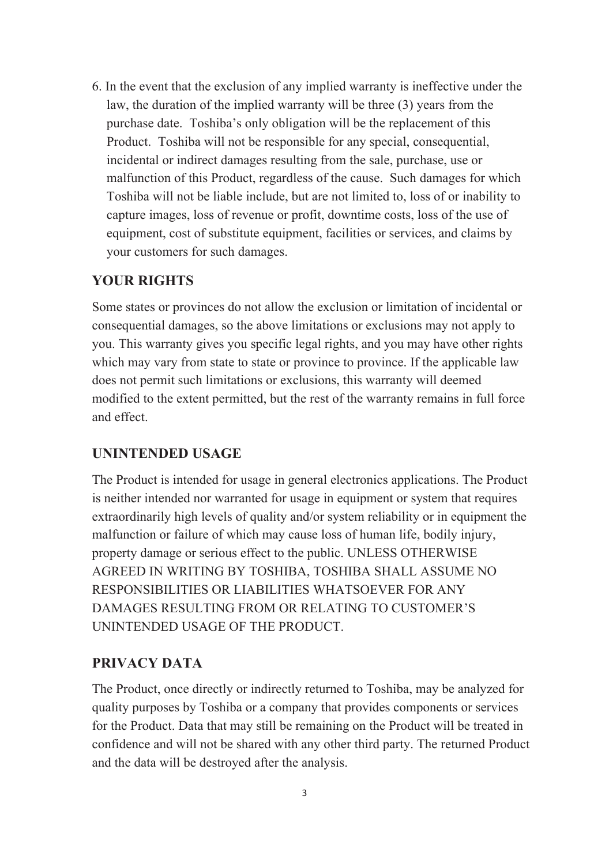6. In the event that the exclusion of any implied warranty is ineffective under the law, the duration of the implied warranty will be three (3) years from the purchase date. Toshiba's only obligation will be the replacement of this Product. Toshiba will not be responsible for any special, consequential, incidental or indirect damages resulting from the sale, purchase, use or malfunction of this Product, regardless of the cause. Such damages for which Toshiba will not be liable include, but are not limited to, loss of or inability to capture images, loss of revenue or profit, downtime costs, loss of the use of equipment, cost of substitute equipment, facilities or services, and claims by your customers for such damages.

#### **YOUR RIGHTS**

Some states or provinces do not allow the exclusion or limitation of incidental or consequential damages, so the above limitations or exclusions may not apply to you. This warranty gives you specific legal rights, and you may have other rights which may vary from state to state or province to province. If the applicable law does not permit such limitations or exclusions, this warranty will deemed modified to the extent permitted, but the rest of the warranty remains in full force and effect.

#### **UNINTENDED USAGE**

The Product is intended for usage in general electronics applications. The Product is neither intended nor warranted for usage in equipment or system that requires extraordinarily high levels of quality and/or system reliability or in equipment the malfunction or failure of which may cause loss of human life, bodily injury, property damage or serious effect to the public. UNLESS OTHERWISE AGREED IN WRITING BY TOSHIBA, TOSHIBA SHALL ASSUME NO RESPONSIBILITIES OR LIABILITIES WHATSOEVER FOR ANY DAMAGES RESULTING FROM OR RELATING TO CUSTOMER'S UNINTENDED USAGE OF THE PRODUCT.

#### **PRIVACY DATA**

The Product, once directly or indirectly returned to Toshiba, may be analyzed for quality purposes by Toshiba or a company that provides components or services for the Product. Data that may still be remaining on the Product will be treated in confidence and will not be shared with any other third party. The returned Product and the data will be destroyed after the analysis.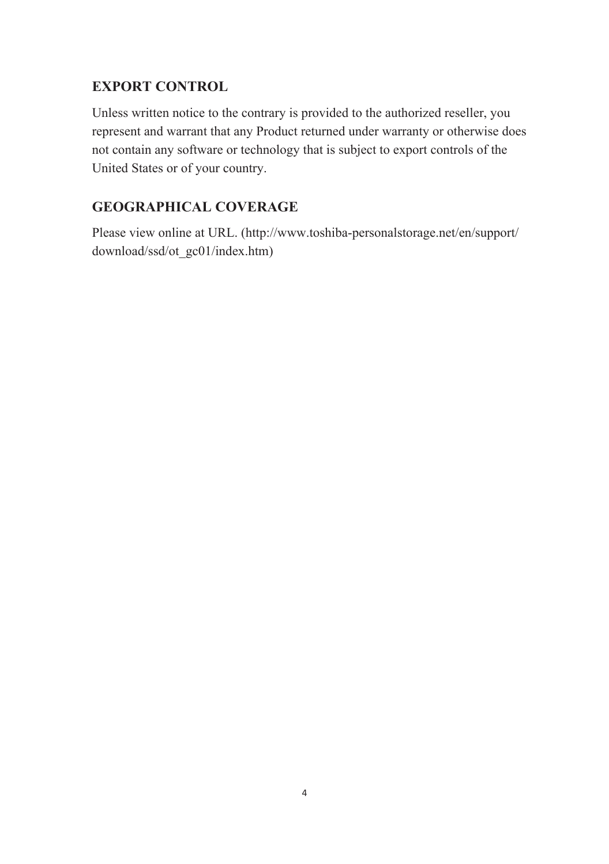#### **EXPORT CONTROL**

Unless written notice to the contrary is provided to the authorized reseller, you represent and warrant that any Product returned under warranty or otherwise does not contain any software or technology that is subject to export controls of the United States or of your country.

#### **GEOGRAPHICAL COVERAGE**

Please view online at URL. (http://www.toshiba-personalstorage.net/en/support/ download/ssd/ot\_gc01/index.htm)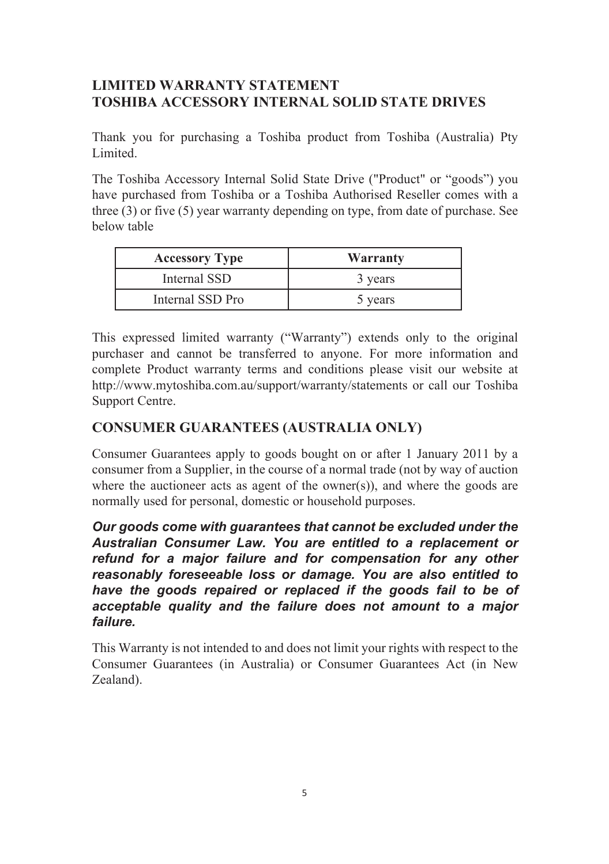#### **LIMITED WARRANTY STATEMENT TOSHIBA ACCESSORY INTERNAL SOLID STATE DRIVES**

Thank you for purchasing a Toshiba product from Toshiba (Australia) Pty Limited.

The Toshiba Accessory Internal Solid State Drive ("Product" or "goods") you have purchased from Toshiba or a Toshiba Authorised Reseller comes with a three (3) or five (5) year warranty depending on type, from date of purchase. See below table

| <b>Accessory Type</b> | Warranty |
|-----------------------|----------|
| Internal SSD          | 3 years  |
| Internal SSD Pro      | 5 vears  |

This expressed limited warranty ("Warranty") extends only to the original purchaser and cannot be transferred to anyone. For more information and complete Product warranty terms and conditions please visit our website at http://www.mytoshiba.com.au/support/warranty/statements or call our Toshiba Support Centre.

#### **CONSUMER GUARANTEES (AUSTRALIA ONLY)**

Consumer Guarantees apply to goods bought on or after 1 January 2011 by a consumer from a Supplier, in the course of a normal trade (not by way of auction where the auctioneer acts as agent of the owner(s)), and where the goods are normally used for personal, domestic or household purposes.

*Our goods come with guarantees that cannot be excluded under the Australian Consumer Law. You are entitled to a replacement or refund for a major failure and for compensation for any other reasonably foreseeable loss or damage. You are also entitled to have the goods repaired or replaced if the goods fail to be of acceptable quality and the failure does not amount to a major failure.*

This Warranty is not intended to and does not limit your rights with respect to the Consumer Guarantees (in Australia) or Consumer Guarantees Act (in New Zealand).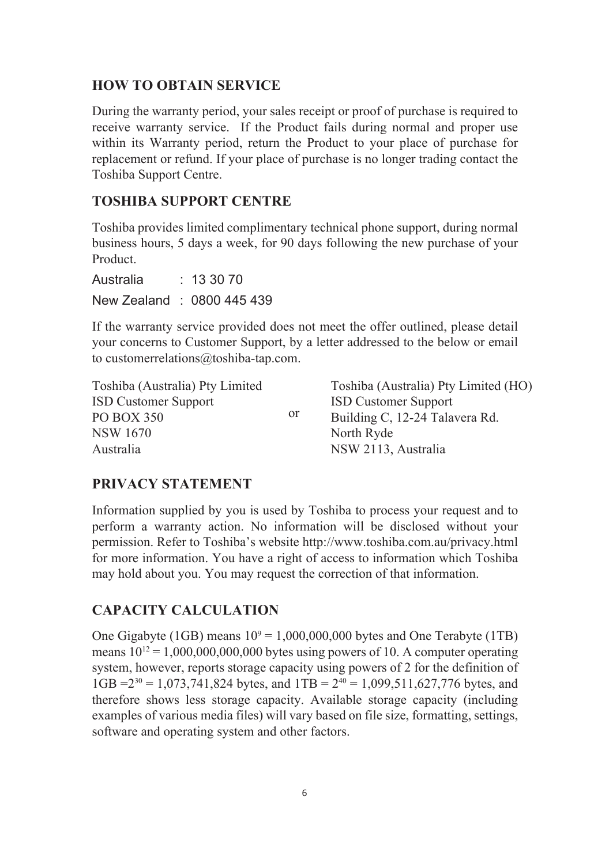#### **HOW TO OBTAIN SERVICE**

During the warranty period, your sales receipt or proof of purchase is required to receive warranty service. If the Product fails during normal and proper use within its Warranty period, return the Product to your place of purchase for replacement or refund. If your place of purchase is no longer trading contact the Toshiba Support Centre.

#### **TOSHIBA SUPPORT CENTRE**

Toshiba provides limited complimentary technical phone support, during normal business hours, 5 days a week, for 90 days following the new purchase of your Product.

Australia : 13 30 70 New Zealand : 0800 445 439

If the warranty service provided does not meet the offer outlined, please detail your concerns to Customer Support, by a letter addressed to the below or email to customerrelations@toshiba-tap.com.

| Toshiba (Australia) Pty Limited |    | Toshiba (Australia) Ptv Limited (HO) |
|---------------------------------|----|--------------------------------------|
| <b>ISD Customer Support</b>     | or | <b>ISD Customer Support</b>          |
| PO BOX 350                      |    | Building C, 12-24 Talavera Rd.       |
| <b>NSW 1670</b>                 |    | North Ryde                           |
| Australia                       |    | NSW 2113, Australia                  |
|                                 |    |                                      |

#### **PRIVACY STATEMENT**

Information supplied by you is used by Toshiba to process your request and to perform a warranty action. No information will be disclosed without your permission. Refer to Toshiba's website http://www.toshiba.com.au/privacy.html for more information. You have a right of access to information which Toshiba may hold about you. You may request the correction of that information.

#### **CAPACITY CALCULATION**

One Gigabyte (1GB) means  $10^9 = 1,000,000,000$  bytes and One Terabyte (1TB) means  $10^{12} = 1,000,000,000,000$  bytes using powers of 10. A computer operating system, however, reports storage capacity using powers of 2 for the definition of  $1GB = 2^{30} = 1.073,741,824$  bytes, and  $1TB = 2^{40} = 1.099,511,627,776$  bytes, and therefore shows less storage capacity. Available storage capacity (including examples of various media files) will vary based on file size, formatting, settings, software and operating system and other factors.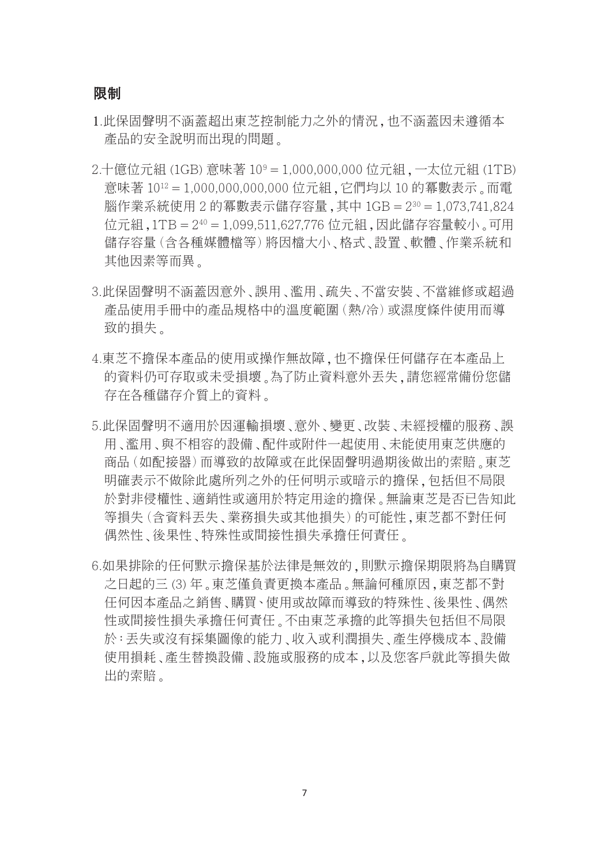#### 限制

- 1.此保固聲明不涵蓋超出東芝控制能力之外的情況,也不涵蓋因未遵循本 產品的安全說明而出現的問題。
- 2.十億位元組 (1GB) 意味著 109 = 1,000,000,000 位元組,一太位元組 (1TB) 意味著 1012 = 1,000,000,000,000 位元組,它們均以 10 的冪數表示。而電 腦作業系統使用 2 的冪數表示儲存容量,其中 1GB = 230 = 1,073,741,824 位元組,1TB = 240 = 1,099,511,627,776 位元組,因此儲存容量較小。可用 儲存容量(含各種媒體檔等)將因檔大小、格式、設置、軟體、作業系統和 其他因素等而異。
- 3.此保固聲明不涵蓋因意外、誤用、濫用、疏失、不當安裝、不當維修或超過 產品使用手冊中的產品規格中的溫度範圍(熱/冷)或濕度條件使用而導 致的損失。
- 4.東芝不擔保本產品的使用或操作無故障,也不擔保任何儲存在本產品上 的資料仍可存取或未受損壞。為了防止資料意外丟失,請您經常備份您儲 存在各種儲存介質上的資料。
- 5.此保固聲明不適用於因運輸損壞、意外、變更、改裝、未經授權的服務、誤 用、濫用、與不相容的設備、配件或附件一起使用、未能使用東芝供應的 商品(如配接器)而導致的故障或在此保固聲明過期後做出的索賠。東芝 明確表示不做除此處所列之外的任何明示或暗示的擔保,包括但不局限 於對非侵權性、適銷性或適用於特定用途的擔保。無論東芝是否已告知此 等損失(含資料丟失、業務損失或其他損失)的可能性,東芝都不對任何 偶然性、後果性、特殊性或間接性損失承擔任何責任。
- 6.如果排除的任何默示擔保基於法律是無效的,則默示擔保期限將為自購買 之日起的三 (3) 年。東芝僅負責更換本產品。無論何種原因,東芝都不對 任何因本產品之銷售、購買、使用或故障而導致的特殊性、後果性、偶然 性或間接性損失承擔任何責任。不由東芝承擔的此等損失包括但不局限 於:丟失或沒有採集圖像的能力、收入或利潤損失、產生停機成本、設備 使用損耗、產生替換設備、設施或服務的成本,以及您客戶就此等損失做 出的索賠。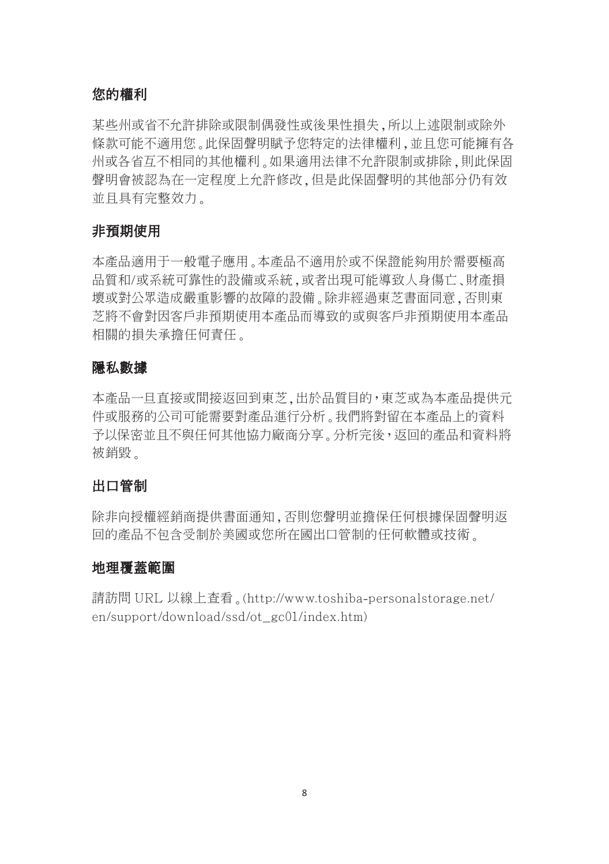#### 您的權利

某些州或省不允許排除或限制偶發性或後果性損失,所以上述限制或除外 條款可能不適用您。此保固聲明賦予您特定的法律權利,並且您可能擁有各 州或各省互不相同的其他權利。如果適用法律不允許限制或排除,則此保固 聲明會被認為在一定程度上允許修改,但是此保固聲明的其他部分仍有效 並且具有完整效力。

#### 非預期使用

本產品適用于一般電子應用。本產品不適用於或不保證能夠用於需要極高 品質和/或系統可靠性的設備或系統,或者出現可能導致人身傷亡、財產損 壞或對公眾造成嚴重影響的故障的設備。除非經過東芝書面同意,否則東 芝將不會對因客戶非預期使用本產品而導致的或與客戶非預期使用本產品 相關的損失承擔任何責任。

#### 隱私數據

本產品一旦直接或間接返回到東芝,出於品質目的,東芝或為本產品提供元 件或服務的公司可能需要對產品進行分析。我們將對留在本產品上的資料 予以保密並且不與任何其他協力廠商分享。分析完後,返回的產品和資料將 被銷毀。

#### 出口管制

除非向授權經銷商提供書面通知,否則您聲明並擔保任何根據保固聲明返 回的產品不包含受制於美國或您所在國出口管制的任何軟體或技術。

#### 地理覆蓋範圍

請訪問 URL 以線上查看。(http://www.toshiba-personalstorage.net/ en/support/download/ssd/ot\_gc01/index.htm)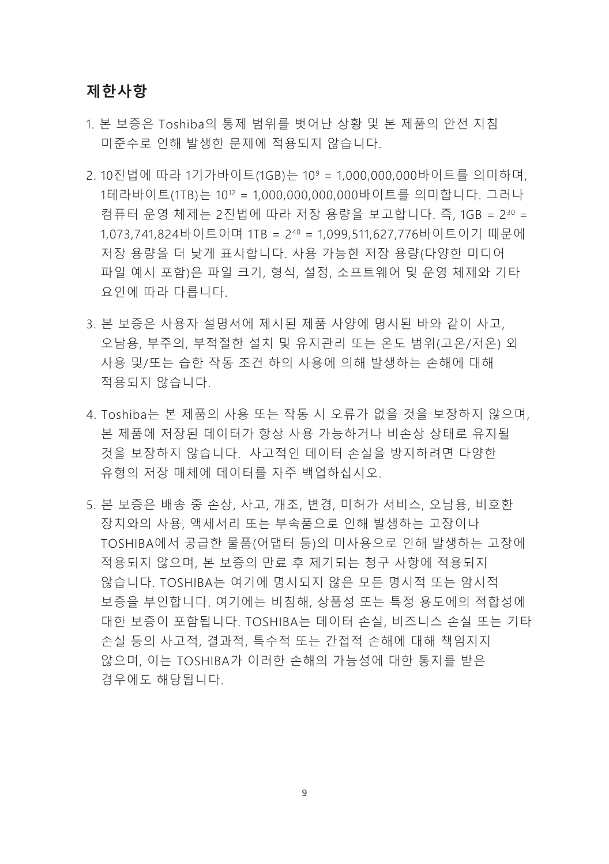#### **제한사항**

- 1. 본 보증은 Toshiba의 통제 범위를 벗어난 상황 및 본 제품의 안전 지침 미준수로 인해 발생한 문제에 적용되지 않습니다.
- 2. 10진법에 따라 1기가바이트(1GB)는 10<sup>9</sup> = 1,000,000,000바이트를 의미하며, 1테라바이트(1TB)는 10<sup>12</sup> = 1,000,000,000,000바이트를 의미합니다. 그러나 컴퓨터 운영 체제는 2진법에 따라 저장 용량을 보고합니다. 즉, 1GB = 230 = 1,073,741,824바이트이며 1TB = 2<sup>40</sup> = 1,099,511,627,776바이트이기 때문에 저장 용량을 더 낮게 표시합니다. 사용 가능한 저장 용량(다양한 미디어 파일 예시 포함)은 파일 크기, 형식, 설정, 소프트웨어 및 운영 체제와 기타 요인에 따라 다릅니다.
- 3. 본 보증은 사용자 설명서에 제시된 제품 사양에 명시된 바와 같이 사고, 오남용, 부주의, 부적절한 설치 및 유지관리 또는 온도 범위(고온/저온) 외 사용 및/또는 습한 작동 조건 하의 사용에 의해 발생하는 손해에 대해 적용되지 않습니다.
- 4. Toshiba는 본 제품의 사용 또는 작동 시 오류가 없을 것을 보장하지 않으며, 본 제품에 저장된 데이터가 항상 사용 가능하거나 비손상 상태로 유지될 것을 보장하지 않습니다. 사고적인 데이터 손실을 방지하려면 다양한 유형의 저장 매체에 데이터를 자주 백업하십시오.
- 5. 본 보증은 배송 중 손상, 사고, 개조, 변경, 미허가 서비스, 오남용, 비호환 장치와의 사용, 액세서리 또는 부속품으로 인해 발생하는 고장이나 TOSHIBA에서 공급한 물품(어댑터 등)의 미사용으로 인해 발생하는 고장에 적용되지 않으며, 본 보증의 만료 후 제기되는 청구 사항에 적용되지 않습니다. TOSHIBA는 여기에 명시되지 않은 모든 명시적 또는 암시적 보증을 부인합니다. 여기에는 비침해, 상품성 또는 특정 용도에의 적합성에 대한 보증이 포함됩니다. TOSHIBA는 데이터 손실, 비즈니스 손실 또는 기타 손실 등의 사고적, 결과적, 특수적 또는 간접적 손해에 대해 책임지지 않으며, 이는 TOSHIBA가 이러한 손해의 가능성에 대한 통지를 받은 경우에도 해당됩니다.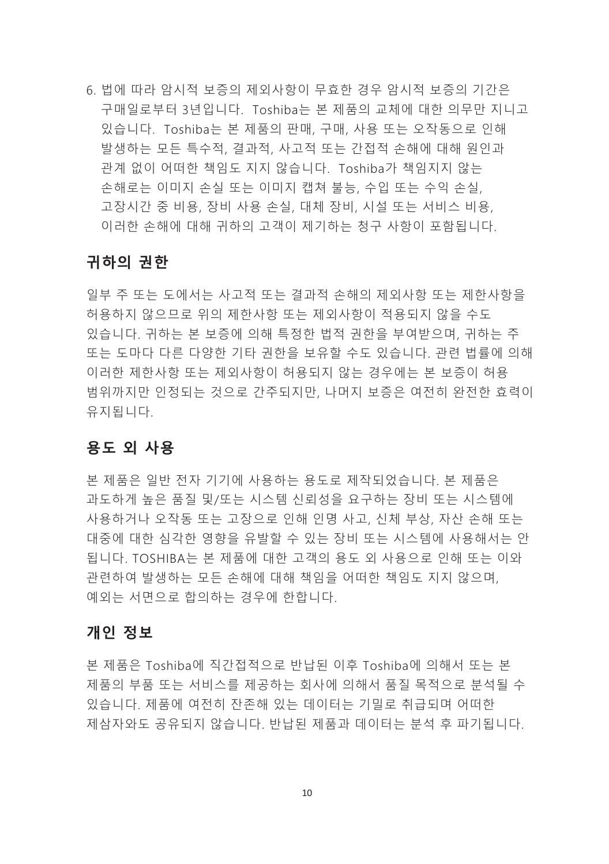6. 법에 따라 암시적 보증의 제외사항이 무효한 경우 암시적 보증의 기간은 구매일로부터 3년입니다. Toshiba는 본 제품의 교체에 대한 의무만 지니고 있습니다. Toshiba는 본 제품의 판매, 구매, 사용 또는 오작동으로 인해 발생하는 모든 특수적, 결과적, 사고적 또는 간접적 손해에 대해 원인과 관계 없이 어떠한 책임도 지지 않습니다. Toshiba가 책임지지 않는 손해로는 이미지 손실 또는 이미지 캡쳐 불능, 수입 또는 수익 손실, 고장시간 중 비용, 장비 사용 손실, 대체 장비, 시설 또는 서비스 비용, 이러한 손해에 대해 귀하의 고객이 제기하는 청구 사항이 포함됩니다.

#### **귀하의 권한**

일부 주 또는 도에서는 사고적 또는 결과적 손해의 제외사항 또는 제한사항을 허용하지 않으므로 위의 제한사항 또는 제외사항이 적용되지 않을 수도 있습니다. 귀하는 본 보증에 의해 특정한 법적 권한을 부여받으며, 귀하는 주 또는 도마다 다른 다양한 기타 권한을 보유할 수도 있습니다. 관련 법률에 의해 이러한 제한사항 또는 제외사항이 허용되지 않는 경우에는 본 보증이 허용 범위까지만 인정되는 것으로 간주되지만, 나머지 보증은 여전히 완전한 효력이 유지됩니다.

#### **용도 외 사용**

본 제품은 일반 전자 기기에 사용하는 용도로 제작되었습니다. 본 제품은 과도하게 높은 품질 및/또는 시스템 신뢰성을 요구하는 장비 또는 시스템에 사용하거나 오작동 또는 고장으로 인해 인명 사고, 신체 부상, 자산 손해 또는 대중에 대한 심각한 영향을 유발할 수 있는 장비 또는 시스템에 사용해서는 안 됩니다. TOSHIBA는 본 제품에 대한 고객의 용도 외 사용으로 인해 또는 이와 관련하여 발생하는 모든 손해에 대해 책임을 어떠한 책임도 지지 않으며, 예외는 서면으로 합의하는 경우에 한합니다.

#### **개인 정보**

본 제품은 Toshiba에 직간접적으로 반납된 이후 Toshiba에 의해서 또는 본 제품의 부품 또는 서비스를 제공하는 회사에 의해서 품질 목적으로 분석될 수 있습니다. 제품에 여전히 잔존해 있는 데이터는 기밀로 취급되며 어떠한 제삼자와도 공유되지 않습니다. 반납된 제품과 데이터는 분석 후 파기됩니다.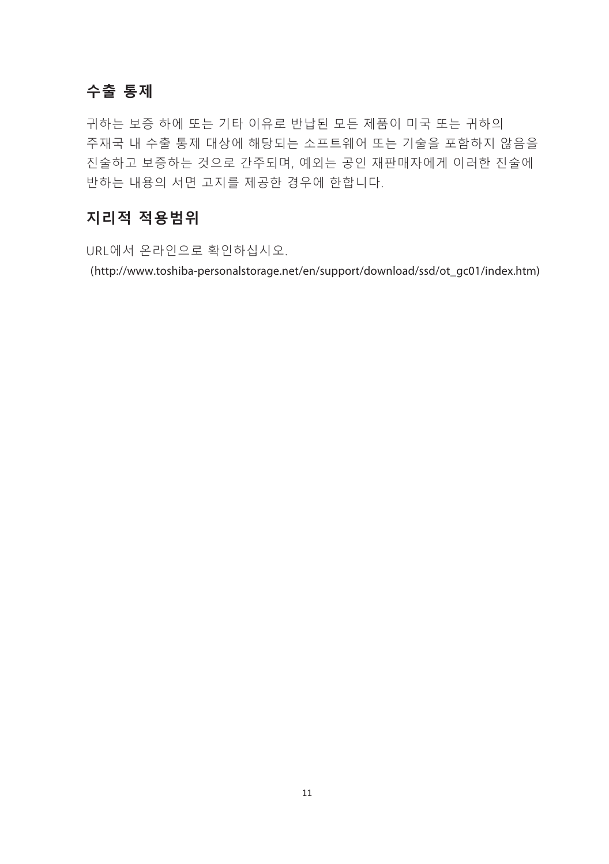#### **수출 통제**

귀하는 보증 하에 또는 기타 이유로 반납된 모든 제품이 미국 또는 귀하의 주재국 내 수출 통제 대상에 해당되는 소프트웨어 또는 기술을 포함하지 않음을 진술하고 보증하는 것으로 간주되며, 예외는 공인 재판매자에게 이러한 진술에 반하는 내용의 서면 고지를 제공한 경우에 한합니다.

#### **지리적 적용범위**

URL에서 온라인으로 확인하십시오.

(http://www.toshiba-personalstorage.net/en/support/download/ssd/ot\_gc01/index.htm)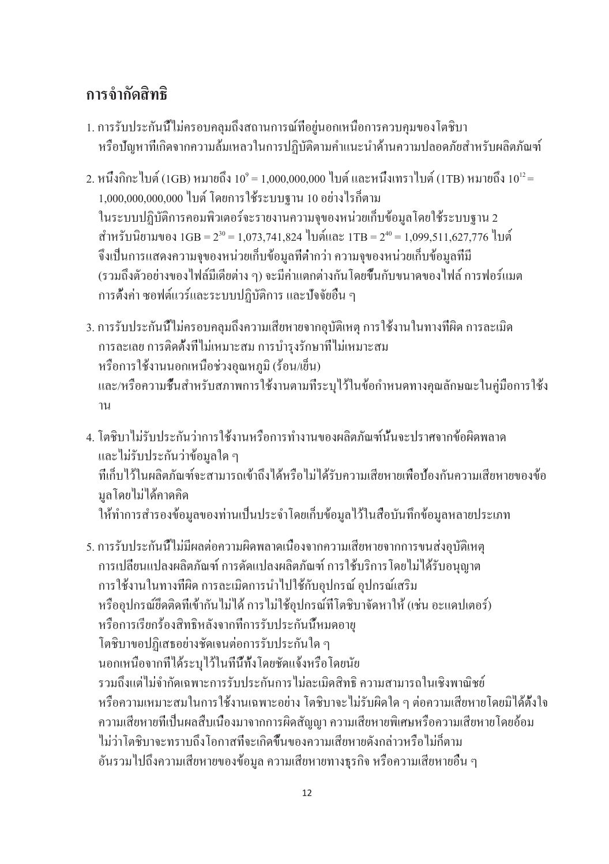### **การจำกัดสิทธิ**

- 1. การรับประกันนี้ไม่ครอบคลุมถึงสถานการณ์ที่อยู่นอกเหนือการควบคุมของโตชิบา หรือปัญหาที่เกิดจากความล้มเหลวในการปฏิบัติตามคำแนะนำด้านความปลอดภัยสำหรับผลิตภัณฑ์
- 2. หนึ่งกิกะ ไบต์ (1GB) หมายถึง 10° = 1,000,000,000 ไบต์ และหนึ่งเทราไบต์ (1TB) หมายถึง 10'-2 = 1,000,000,000,000 ไบต์ โดยการใช้ระบบฐาน 10 อย่างไรก็ตาม ในระบบปฏิบัติการคอมพิวเตอร์จะรายงานความจุของหน่วยเก็บข้อมูลโดยใช้ระบบฐาน 2 สำหรับนิยามของ 1GB = 2 $30$  = 1,073,741,824 ไบต์และ 1TB = 2 $^{40}$  = 1,099,511,627,776 ไบต์ จึงเป็นการแสดงความจุของหน่วยเก็บข้อมูลที่ต่ำกว่า ความจุของหน่วยเก็บข้อมูลที่มี (รวมถึงตัวอย่างของไฟล์มีเดียต่าง ๆ) จะมีค่าแตกต่างกันโดยขึ้นกับขนาดของไฟล์ การฟอร์แมต การตั้งค่า ซอฟต์แวร์และระบบปฏิบัติการ และปัจจัยอื่น ๆ
- 3. การรับประกันนี้ไม่ครอบคลุมถึงความเสียหายจากอุบัติเหตุ การใช้งานในทางที่ผิด การละเมิด การละเลย การติดตั้งที่ไม่เหมาะสม การบำรุงรักษาที่ไม่เหมาะสม หรือการใช้งานนอกเหนือช่วงอุณหภูมิ (ร้อน/เย็น) และ/หรือความชื้นสำหรับสภาพการใช้งานตามที่ระบุไว้ในข้อกำหนดทางคุณลักษณะในคู่มือการใช้ง าน
- 4. โตชิบาไม่รับประกันว่าการใช้งานหรือการทำงานของผลิตภัณฑ์นั้นจะปราศจากข้อผิดพลาด และไม่รับประกันว่าข้อมูลใด ๆ ที่เก็บไว้ในผลิตภัณฑ์จะสามารถเข้าถึงได้หรือไม่ได้รับความเสียหายเพื่อป้องกันความเสียหายของข้อ มูลโดยไม่ได้คาดคิด ให้ทำการสำรองข้อมูลของท่านเป็นประจำโดยเก็บข้อมูลไว้ในสื่อบันทึกข้อมูลหลายประเภท
- 5. การรับประกันนี้ไม่มีผลต่อความผิดพลาดเนื่องจากความเสียหายจากการขนส่งอุบัติเหตุ การเปลี่ยนแปลงผลิตภัณฑ์ การดัดแปลงผลิตภัณฑ์ การใช้บริการโดยไม่ได้รับอนุญาต การใช้งานในทางที่ผิด การละเมิดการนำไปใช้กับอุปกรณ์ อุปกรณ์เสริม หรืออุปกรณ์ยึดติดที่เข้ากันไม่ได้ การไม่ใช้อุปกรณ์ที่โตชิบาจัดหาให้ (เช่น อะแดปเตอร์) หรือการเรียกร้องสิทธิหลังจากที่การรับประกันนี้หมดอายุ โตชิบาขอปฏิเสธอย่างชัดเจนต่อการรับประกันใด ๆ นอกเหนือจากที่ได้ระบุไว้ในที่นี้ทั้งโดยชัดแจ้งหรือโดยนัย รวมถึงแต่ไม่จำกัดเฉพาะการรับประกันการไม่ละเมิดสิทธิ ความสามารถในเชิงพาณิชย์ หรือความเหมาะสมในการใช้งานเฉพาะอย่าง โตชิบาจะไม่รับผิดใด ๆ ต่อความเสียหายโดยมิได้ตั้งใจ ความเสียหายที่เป็นผลสืบเนื่องมาจากการผิดสัญญา ความเสียหายพิเศษหรือความเสียหายโดยอ้อม ไม่ว่าโตชิบาจะทราบถึงโอกาสที่จะเกิดขึ้นของความเสียหายดังกล่าวหรือไม่ก็ตาม อันรวมไปถึงความเสียหายของข้อมูล ความเสียหายทางธุรกิจ หรือความเสียหายอื่น ๆ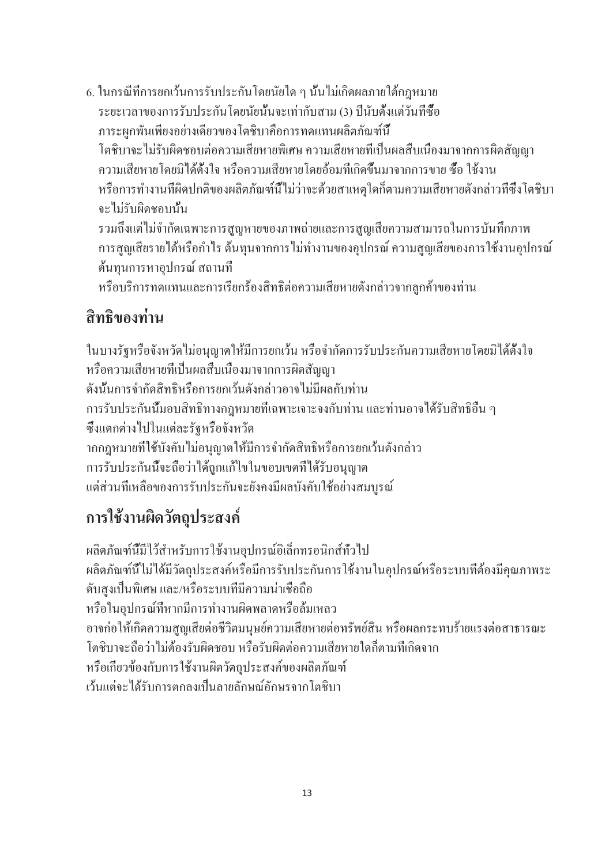6. ในกรณีที่การยกเว้นการรับประกันโดยนัยใด ๆ นั้นไม่เกิดผลภายใต้กฎหมาย ระยะเวลาของการรับประกันโดยนัยนั้นจะเท่ากับสาม (3) ปีนับตั้งแต่วันที่ซื้อ ภาระผุกพันเพียงอย่างเดียวของโตชิบาคือการทดแทนผลิตภัณฑ์นี้ โตชิบาจะไม่รับผิดชอบต่อความเสียหายพิเศษ ความเสียหายที่เป็นผลสืบเนื่องมาจากการผิดสัญญา ความเสียหายโดยมิได้ตั้งใจ หรือความเสียหายโดยอ้อมที่เกิดขึ้นมาจากการขาย ซื้อ ใช้งาน หรือการทำงานที่ผิดปกติของผลิตภัณฑ์นี้ไม่ว่าจะด้วยสาเหตุใดก็ตามความเสียหายดังกล่าวที่ซึ่งโตชิบา จะไม่รับผิดชอบนั้น รวมถึงแต่ไม่จำกัดเฉพาะการสูญหายของภาพถ่ายและการสูญเสียความสามารถในการบันทึกภาพ

การสูญเสียรายได้หรือกำไร ต้นทุนจากการไม่ทำงานของอุปกรณ์ ความสูญเสียของการใช้งานอุปกรณ์ ต้นทุนการหาอุปกรณ์ สถานที่

หรือบริการทดแทนและการเรียกร้องสิทธิต่อความเสียหายดังกล่าวจากลูกค้าของท่าน

## **สิทธิของท่าน**

ในบางรัฐหรือจังหวัดไม่อนุญาตให้มีการยกเว้น หรือจำกัดการรับประกันความเสียหายโดยมิได้ตั้งใจ หรือความเสียหายที่เป็นผลสืบเนื่องมาจากการผิดสัญญา ดังนั้นการจำกัดสิทธิหรือการยกเว้นดังกล่าวอาจไม่มีผลกับท่าน การรับประกันนี้มอบสิทธิทางกฎหมายที่เฉพาะเจาะจงกับท่าน และท่านอาจได้รับสิทธิอื่น ๆ ซึ่งแตกต่างไปในแต่ละรัฐหรือจังหวัด ากกฎหมายที่ใช้บังคับไม่อนุญาตให้มีการจำกัดสิทธิหรือการยกเว้นดังกล่าว การรับประกันนี้จะถือว่าได้ถูกแก้ไขในขอบเขตที่ได้รับอนุญาต แต่ส่วนที่เหลือของการรับประกันจะยังคงมีผลบังคับใช้อย่างสมบูรณ์

## **การใช้งานผิดวัตถุประสงค์**

ผลิตภัณฑ์นี้มีไว้สำหรับการใช้งานอุปกรณ์อิเล็กทรอนิกส์ทั่วไป ผลิตภัณฑ์นี้ไม่ได้มีวัตถุประสงค์หรือมีการรับประกันการใช้งานในอุปกรณ์หรือระบบที่ต้องมีคุณภาพระ ดับสูงเป็นพิเศษ และ/หรือระบบที่มีความน่าเชื่อถือ หรือในอุปกรณ์ที่หากมีการทำงานผิดพลาดหรือล้มเหลว อาจก่อให้เกิดความสูญเสียต่อชีวิตมนุษย์ความเสียหายต่อทรัพย์สิน หรือผลกระทบร้ายแรงต่อสาธารณะ โตชิบาจะถือว่าไม่ต้องรับผิดชอบ หรือรับผิดต่อความเสียหายใดก็ตามที่เกิดจาก หรือเกี่ยวข้องกับการใช้งานผิดวัตถุประสงค์ของผลิตภัณฑ์ เว้นแต่จะได้รับการตกลงเป็นลายลักษณ์อักษรจากโตชิบา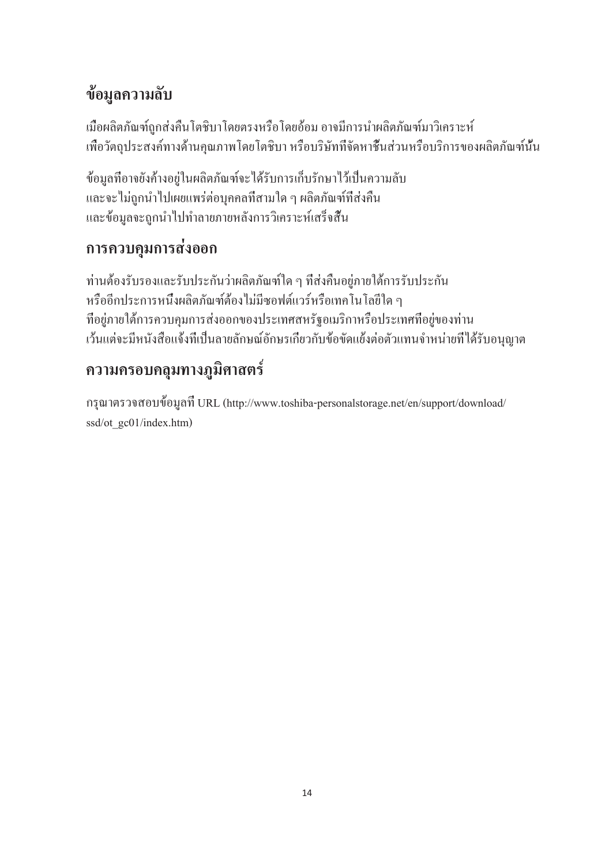## **ข้อมูลความลับ**

เมื่อผลิตภัณฑ์ถูกส่งคืนโตชิบาโดยตรงหรือโดยอ้อม อาจมีการนำผลิตภัณฑ์มาวิเคราะห์ เพื่อวัตถุประสงค์ทางด้านคุณภาพโดยโตชิบา หรือบริษัทที่จัดหาชิ้นส่วนหรือบริการของผลิตภัณฑ์นั้น

ข้อมูลที่อาจยังค้างอยู่ในผลิตภัณฑ์จะได้รับการเก็บรักษาไว้เป็นความลับ และจะไม่ถูกนำไปเผยแพร่ต่อบุคคลที่สามใด ๆ ผลิตภัณฑ์ที่ส่งคืน และข้อมูลจะถูกนำไปทำลายภายหลังการวิเคราะห์เสร็จสิ้น

### **การควบคุมการส่งออก**

ท่านต้องรับรองและรับประกันว่าผลิตภัณฑ์ใด ๆ ที่ส่งคืนอยู่ภายใต้การรับประกัน หรืออีกประการหนึ่งผลิตภัณฑ์ต้องไม่มีซอฟต์แวร์หรือเทคโนโลยีใด ๆ ที่อยู่ภายใต้การควบคุมการส่งออกของประเทศสหรัฐอเมริกาหรือประเทศที่อยู่ของท่าน เว้นแต่จะมีหนังสือแจ้งที่เป็นลายลักษณ์อักษรเกี่ยวกับข้อขัดแย้งต่อตัวแทนจำหน่ายที่ได้รับอนุญาต

## **ความครอบคลุมทางภูมิศาสตร์**

กรุณาตรวจสอบข้อมูลที่ URL (http://www.toshiba-personalstorage.net/en/support/download/ ssd/ot\_gc01/index.htm)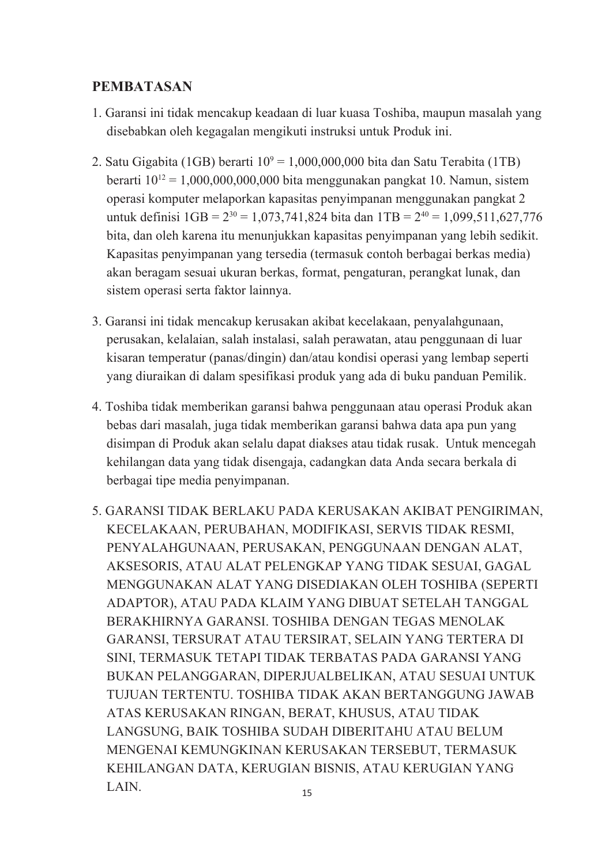#### **PEMBATASAN**

- 1. Garansi ini tidak mencakup keadaan di luar kuasa Toshiba, maupun masalah yang disebabkan oleh kegagalan mengikuti instruksi untuk Produk ini.
- 2. Satu Gigabita (1GB) berarti 10° = 1,000,000,000 bita dan Satu Terabita (1TB) berarti  $10^{12} = 1,000,000,000,000$  bita menggunakan pangkat 10. Namun, sistem operasi komputer melaporkan kapasitas penyimpanan menggunakan pangkat 2 untuk definisi  $1\text{GB} = 2^{30} = 1.073,741,824$  bita dan  $1\text{TB} = 2^{40} = 1.099,511,627,776$ bita, dan oleh karena itu menunjukkan kapasitas penyimpanan yang lebih sedikit. Kapasitas penyimpanan yang tersedia (termasuk contoh berbagai berkas media) akan beragam sesuai ukuran berkas, format, pengaturan, perangkat lunak, dan sistem operasi serta faktor lainnya.
- 3. Garansi ini tidak mencakup kerusakan akibat kecelakaan, penyalahgunaan, perusakan, kelalaian, salah instalasi, salah perawatan, atau penggunaan di luar kisaran temperatur (panas/dingin) dan/atau kondisi operasi yang lembap seperti yang diuraikan di dalam spesifikasi produk yang ada di buku panduan Pemilik.
- 4. Toshiba tidak memberikan garansi bahwa penggunaan atau operasi Produk akan bebas dari masalah, juga tidak memberikan garansi bahwa data apa pun yang disimpan di Produk akan selalu dapat diakses atau tidak rusak. Untuk mencegah kehilangan data yang tidak disengaja, cadangkan data Anda secara berkala di berbagai tipe media penyimpanan.
- 15 5. GARANSI TIDAK BERLAKU PADA KERUSAKAN AKIBAT PENGIRIMAN, KECELAKAAN, PERUBAHAN, MODIFIKASI, SERVIS TIDAK RESMI, PENYALAHGUNAAN, PERUSAKAN, PENGGUNAAN DENGAN ALAT, AKSESORIS, ATAU ALAT PELENGKAP YANG TIDAK SESUAI, GAGAL MENGGUNAKAN ALAT YANG DISEDIAKAN OLEH TOSHIBA (SEPERTI ADAPTOR), ATAU PADA KLAIM YANG DIBUAT SETELAH TANGGAL BERAKHIRNYA GARANSI. TOSHIBA DENGAN TEGAS MENOLAK GARANSI, TERSURAT ATAU TERSIRAT, SELAIN YANG TERTERA DI SINI, TERMASUK TETAPI TIDAK TERBATAS PADA GARANSI YANG BUKAN PELANGGARAN, DIPERJUALBELIKAN, ATAU SESUAI UNTUK TUJUAN TERTENTU. TOSHIBA TIDAK AKAN BERTANGGUNG JAWAB ATAS KERUSAKAN RINGAN, BERAT, KHUSUS, ATAU TIDAK LANGSUNG, BAIK TOSHIBA SUDAH DIBERITAHU ATAU BELUM MENGENAI KEMUNGKINAN KERUSAKAN TERSEBUT, TERMASUK KEHILANGAN DATA, KERUGIAN BISNIS, ATAU KERUGIAN YANG LAIN.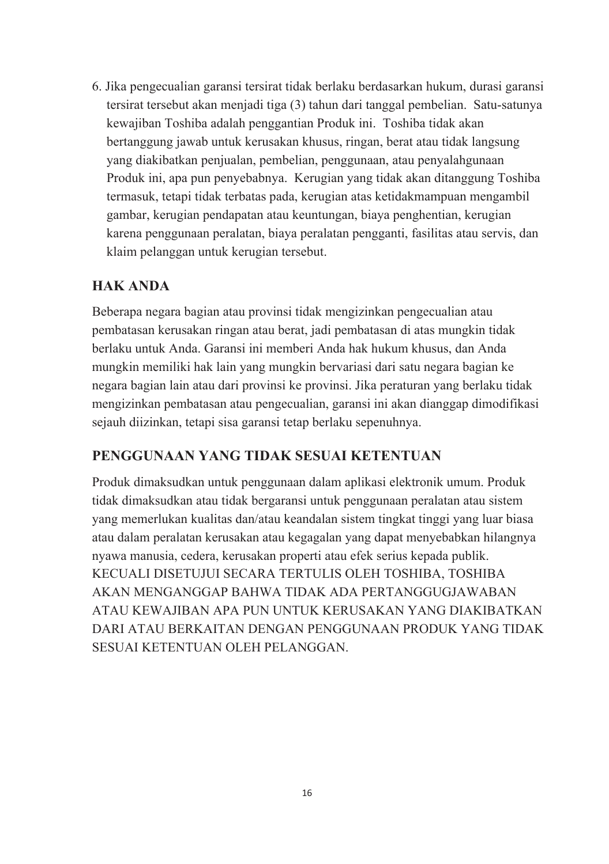6. Jika pengecualian garansi tersirat tidak berlaku berdasarkan hukum, durasi garansi tersirat tersebut akan menjadi tiga (3) tahun dari tanggal pembelian. Satu-satunya kewajiban Toshiba adalah penggantian Produk ini. Toshiba tidak akan bertanggung jawab untuk kerusakan khusus, ringan, berat atau tidak langsung yang diakibatkan penjualan, pembelian, penggunaan, atau penyalahgunaan Produk ini, apa pun penyebabnya. Kerugian yang tidak akan ditanggung Toshiba termasuk, tetapi tidak terbatas pada, kerugian atas ketidakmampuan mengambil gambar, kerugian pendapatan atau keuntungan, biaya penghentian, kerugian karena penggunaan peralatan, biaya peralatan pengganti, fasilitas atau servis, dan klaim pelanggan untuk kerugian tersebut.

#### **HAK ANDA**

Beberapa negara bagian atau provinsi tidak mengizinkan pengecualian atau pembatasan kerusakan ringan atau berat, jadi pembatasan di atas mungkin tidak berlaku untuk Anda. Garansi ini memberi Anda hak hukum khusus, dan Anda mungkin memiliki hak lain yang mungkin bervariasi dari satu negara bagian ke negara bagian lain atau dari provinsi ke provinsi. Jika peraturan yang berlaku tidak mengizinkan pembatasan atau pengecualian, garansi ini akan dianggap dimodifikasi sejauh diizinkan, tetapi sisa garansi tetap berlaku sepenuhnya.

#### **PENGGUNAAN YANG TIDAK SESUAI KETENTUAN**

Produk dimaksudkan untuk penggunaan dalam aplikasi elektronik umum. Produk tidak dimaksudkan atau tidak bergaransi untuk penggunaan peralatan atau sistem yang memerlukan kualitas dan/atau keandalan sistem tingkat tinggi yang luar biasa atau dalam peralatan kerusakan atau kegagalan yang dapat menyebabkan hilangnya nyawa manusia, cedera, kerusakan properti atau efek serius kepada publik. KECUALI DISETUJUI SECARA TERTULIS OLEH TOSHIBA, TOSHIBA AKAN MENGANGGAP BAHWA TIDAK ADA PERTANGGUGJAWABAN ATAU KEWAJIBAN APA PUN UNTUK KERUSAKAN YANG DIAKIBATKAN DARI ATAU BERKAITAN DENGAN PENGGUNAAN PRODUK YANG TIDAK SESUAI KETENTUAN OLEH PELANGGAN.